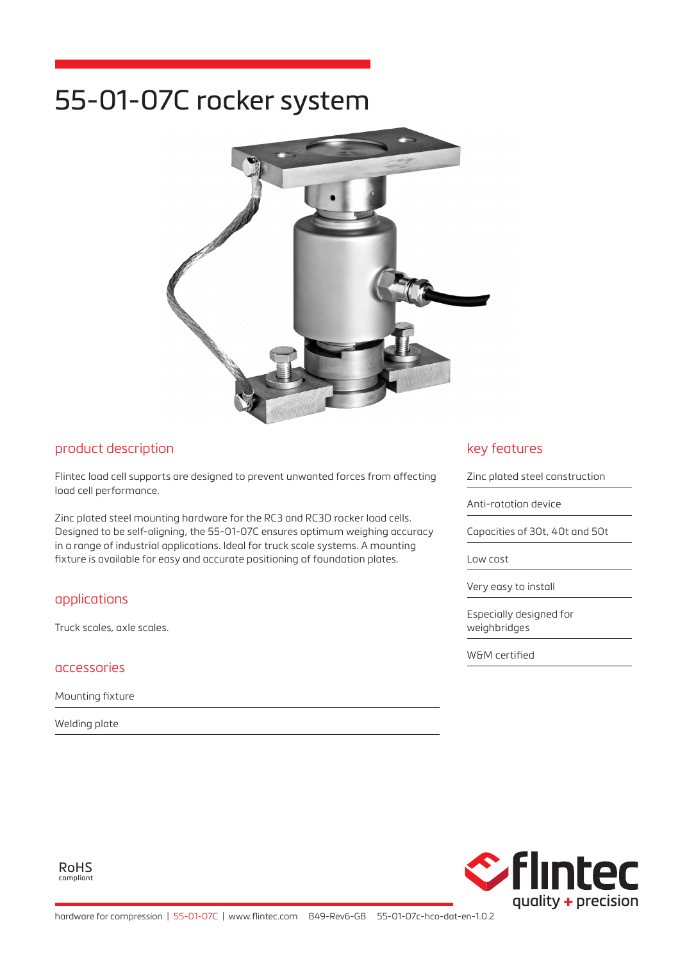# 55-01-07C rocker system



## product description

Flintec load cell supports are designed to prevent unwanted forces from affecting load cell performance.

Zinc plated steel mounting hardware for the RC3 and RC3D rocker load cells. Designed to be self-aligning, the 55-01-07C ensures optimum weighing accuracy in a range of industrial applications. Ideal for truck scale systems. A mounting fixture is available for easy and accurate positioning of foundation plates.

# applications

Truck scales, axle scales.

### accessories

Mounting fixture

Welding plate

# key features

Zinc plated steel construction

Anti-rotation device

Capacities of 30t, 40t and 50t

Low cost

Very easy to install

Especially designed for weighbridges

W&M certified